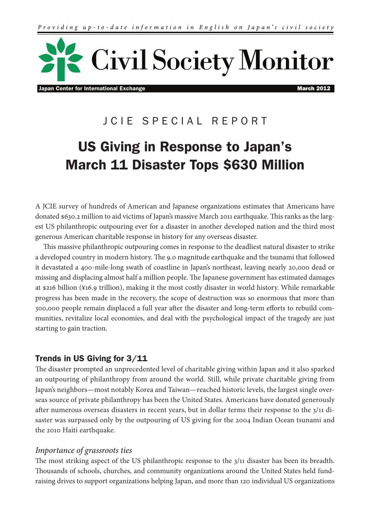

Japan Center for International Exchange March 2012 **March 2012** 

## JCIE SPECIAL REPORT

# US Giving in Response to Japan's March 11 Disaster Tops \$630 Million

A JCIE survey of hundreds of American and Japanese organizations estimates that Americans have donated \$630.2 million to aid victims of Japan's massive March 2011 earthquake. This ranks as the largest US philanthropic outpouring ever for a disaster in another developed nation and the third most generous American charitable response in history for any overseas disaster.

This massive philanthropic outpouring comes in response to the deadliest natural disaster to strike a developed country in modern history. The 9.0 magnitude earthquake and the tsunami that followed it devastated a 400-mile-long swath of coastline in Japan's northeast, leaving nearly 20,000 dead or missing and displacing almost half a million people. The Japanese government has estimated damages at \$216 billion (¥16.9 trillion), making it the most costly disaster in world history. While remarkable progress has been made in the recovery, the scope of destruction was so enormous that more than 300,000 people remain displaced a full year after the disaster and long-term efforts to rebuild communities, revitalize local economies, and deal with the psychological impact of the tragedy are just starting to gain traction.

### Trends in US Giving for 3/11

The disaster prompted an unprecedented level of charitable giving within Japan and it also sparked an outpouring of philanthropy from around the world. Still, while private charitable giving from Japan's neighbors—most notably Korea and Taiwan—reached historic levels, the largest single overseas source of private philanthropy has been the United States. Americans have donated generously after numerous overseas disasters in recent years, but in dollar terms their response to the 3/11 disaster was surpassed only by the outpouring of US giving for the 2004 Indian Ocean tsunami and the 2010 Haiti earthquake.

#### *Importance of grassroots ties*

The most striking aspect of the US philanthropic response to the 3/11 disaster has been its breadth. Thousands of schools, churches, and community organizations around the United States held fundraising drives to support organizations helping Japan, and more than 120 individual US organizations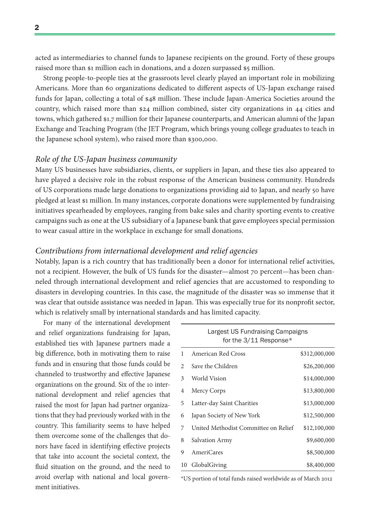acted as intermediaries to channel funds to Japanese recipients on the ground. Forty of these groups raised more than \$1 million each in donations, and a dozen surpassed \$5 million.

Strong people-to-people ties at the grassroots level clearly played an important role in mobilizing Americans. More than 60 organizations dedicated to different aspects of US-Japan exchange raised funds for Japan, collecting a total of \$48 million. These include Japan-America Societies around the country, which raised more than \$24 million combined, sister city organizations in 44 cities and towns, which gathered \$1.7 million for their Japanese counterparts, and American alumni of the Japan Exchange and Teaching Program (the JET Program, which brings young college graduates to teach in the Japanese school system), who raised more than \$300,000.

#### *Role of the US-Japan business community*

Many US businesses have subsidiaries, clients, or suppliers in Japan, and these ties also appeared to have played a decisive role in the robust response of the American business community. Hundreds of US corporations made large donations to organizations providing aid to Japan, and nearly 50 have pledged at least \$1 million. In many instances, corporate donations were supplemented by fundraising initiatives spearheaded by employees, ranging from bake sales and charity sporting events to creative campaigns such as one at the US subsidiary of a Japanese bank that gave employees special permission to wear casual attire in the workplace in exchange for small donations.

#### *Contributions from international development and relief agencies*

Notably, Japan is a rich country that has traditionally been a donor for international relief activities, not a recipient. However, the bulk of US funds for the disaster—almost 70 percent—has been channeled through international development and relief agencies that are accustomed to responding to disasters in developing countries. In this case, the magnitude of the disaster was so immense that it was clear that outside assistance was needed in Japan. This was especially true for its nonprofit sector, which is relatively small by international standards and has limited capacity.

For many of the international development and relief organizations fundraising for Japan, established ties with Japanese partners made a big difference, both in motivating them to raise funds and in ensuring that those funds could be channeled to trustworthy and effective Japanese organizations on the ground. Six of the 10 international development and relief agencies that raised the most for Japan had partner organizations that they had previously worked with in the country. This familiarity seems to have helped them overcome some of the challenges that donors have faced in identifying effective projects that take into account the societal context, the fluid situation on the ground, and the need to avoid overlap with national and local government initiatives.

|    | Largest US Fundraising Campaigns     |               |
|----|--------------------------------------|---------------|
|    | for the 3/11 Response*               |               |
| 1  | American Red Cross                   | \$312,000,000 |
| 2  | Save the Children                    | \$26,200,000  |
| 3  | World Vision                         | \$14,000,000  |
| 4  | Mercy Corps                          | \$13,800,000  |
| 5  | Latter-day Saint Charities           | \$13,000,000  |
| 6  | Japan Society of New York            | \$12,500,000  |
| 7  | United Methodist Committee on Relief | \$12,100,000  |
| 8  | <b>Salvation Army</b>                | \$9,600,000   |
| 9  | AmeriCares                           | \$8,500,000   |
| 10 | GlobalGiving                         | \$8,400,000   |

\*US portion of total funds raised worldwide as of March 2012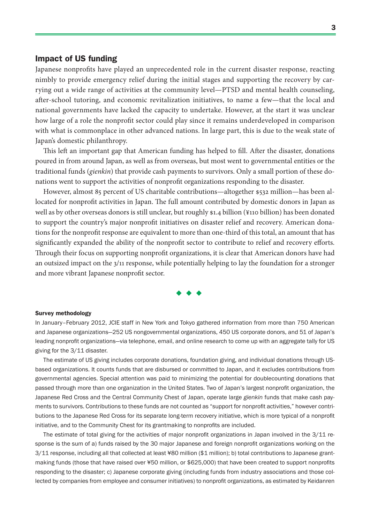#### Impact of US funding

Japanese nonprofits have played an unprecedented role in the current disaster response, reacting nimbly to provide emergency relief during the initial stages and supporting the recovery by carrying out a wide range of activities at the community level—PTSD and mental health counseling, after-school tutoring, and economic revitalization initiatives, to name a few—that the local and national governments have lacked the capacity to undertake. However, at the start it was unclear how large of a role the nonprofit sector could play since it remains underdeveloped in comparison with what is commonplace in other advanced nations. In large part, this is due to the weak state of Japan's domestic philanthropy.

This left an important gap that American funding has helped to fill. After the disaster, donations poured in from around Japan, as well as from overseas, but most went to governmental entities or the traditional funds (*gienkin*) that provide cash payments to survivors. Only a small portion of these donations went to support the activities of nonprofit organizations responding to the disaster.

However, almost 85 percent of US charitable contributions—altogether \$532 million—has been allocated for nonprofit activities in Japan. The full amount contributed by domestic donors in Japan as well as by other overseas donors is still unclear, but roughly \$1.4 billion (¥110 billion) has been donated to support the country's major nonprofit initiatives on disaster relief and recovery. American donations for the nonprofit response are equivalent to more than one-third of this total, an amount that has significantly expanded the ability of the nonprofit sector to contribute to relief and recovery efforts. Through their focus on supporting nonprofit organizations, it is clear that American donors have had an outsized impact on the 3/11 response, while potentially helping to lay the foundation for a stronger and more vibrant Japanese nonprofit sector.



#### Survey methodology

In January–February 2012, JCIE staff in New York and Tokyo gathered information from more than 750 American and Japanese organizations—252 US nongovernmental organizations, 450 US corporate donors, and 51 of Japan's leading nonprofit organizations—via telephone, email, and online research to come up with an aggregate tally for US giving for the 3/11 disaster.

The estimate of US giving includes corporate donations, foundation giving, and individual donations through USbased organizations. It counts funds that are disbursed or committed to Japan, and it excludes contributions from governmental agencies. Special attention was paid to minimizing the potential for doublecounting donations that passed through more than one organization in the United States. Two of Japan's largest nonprofit organization, the Japanese Red Cross and the Central Community Chest of Japan, operate large *gienkin* funds that make cash payments to survivors. Contributions to these funds are not counted as "support for nonprofit activities," however contributions to the Japanese Red Cross for its separate long-term recovery initiative, which is more typical of a nonprofit initiative, and to the Community Chest for its grantmaking to nonprofits are included.

The estimate of total giving for the activities of major nonprofit organizations in Japan involved in the 3/11 response is the sum of a) funds raised by the 30 major Japanese and foreign nonprofit organizations working on the 3/11 response, including all that collected at least ¥80 million (\$1 million); b) total contributions to Japanese grantmaking funds (those that have raised over ¥50 million, or \$625,000) that have been created to support nonprofits responding to the disaster; c) Japanese corporate giving (including funds from industry associations and those collected by companies from employee and consumer initiatives) to nonprofit organizations, as estimated by Keidanren